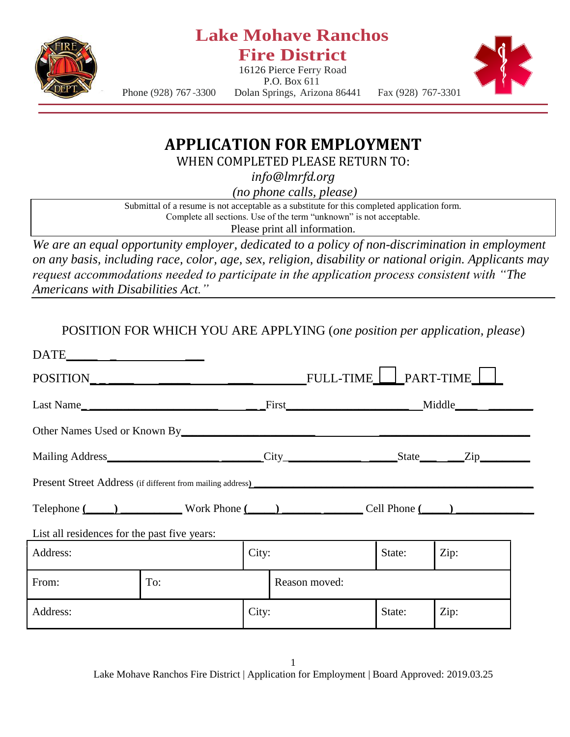

## **Lake Mohave Ranchos Fire District**

16126 Pierce Ferry Road P.O. Box 611



Phone (928) 767 -3300 Dolan Springs, Arizona 86441 Fax (928) 767-3301

## **APPLICATION FOR EMPLOYMENT**

WHEN COMPLETED PLEASE RETURN TO:

*info@lmrfd.org*

*(no phone calls, please)*

Submittal of a resume is not acceptable as a substitute for this completed application form. Complete all sections. Use of the term "unknown" is not acceptable.

Please print all information.

*We are an equal opportunity employer, dedicated to a policy of non-discrimination in employment on any basis, including race, color, age, sex, religion, disability or national origin. Applicants may request accommodations needed to participate in the application process consistent with "The Americans with Disabilities Act."*

POSITION FOR WHICH YOU ARE APPLYING (*one position per application, please*)

| Other Names Used or Known By The Communication of the Communication of the Communication of the Communication of the Communication of the Communication of the Communication of the Communication of the Communication of the |                                                                                   |       |                |        |      |  |  |
|-------------------------------------------------------------------------------------------------------------------------------------------------------------------------------------------------------------------------------|-----------------------------------------------------------------------------------|-------|----------------|--------|------|--|--|
|                                                                                                                                                                                                                               |                                                                                   |       |                |        |      |  |  |
|                                                                                                                                                                                                                               | Present Street Address (if different from mailing address) ______________________ |       |                |        |      |  |  |
| Telephone $(\_\_\_\_)$ Work Phone $(\_\_\_\_)$ $\_\_\_\_$ Cell Phone $(\_\_\)_$                                                                                                                                               |                                                                                   |       |                |        |      |  |  |
| List all residences for the past five years:                                                                                                                                                                                  |                                                                                   |       |                |        |      |  |  |
| Address:                                                                                                                                                                                                                      |                                                                                   | City: | Zip:<br>State: |        |      |  |  |
| From:                                                                                                                                                                                                                         | To:                                                                               |       | Reason moved:  |        |      |  |  |
| Address:                                                                                                                                                                                                                      |                                                                                   | City: |                | State: | Zip: |  |  |

1 Lake Mohave Ranchos Fire District | Application for Employment | Board Approved: 2019.03.25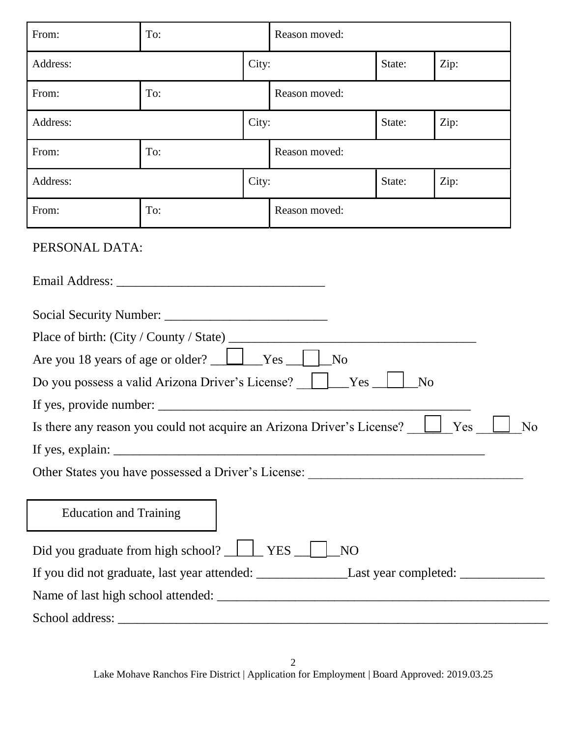| From:                                                                                                                                                                                                                                                                                                                                                                                                              | To:   |       | Reason moved: |                |      |  |
|--------------------------------------------------------------------------------------------------------------------------------------------------------------------------------------------------------------------------------------------------------------------------------------------------------------------------------------------------------------------------------------------------------------------|-------|-------|---------------|----------------|------|--|
| Address:                                                                                                                                                                                                                                                                                                                                                                                                           | City: |       |               | State:         | Zip: |  |
| From:                                                                                                                                                                                                                                                                                                                                                                                                              | To:   |       | Reason moved: |                |      |  |
| Address:                                                                                                                                                                                                                                                                                                                                                                                                           |       | City: |               | State:         | Zip: |  |
| From:                                                                                                                                                                                                                                                                                                                                                                                                              | To:   |       | Reason moved: |                |      |  |
| Address:                                                                                                                                                                                                                                                                                                                                                                                                           |       | City: |               | State:<br>Zip: |      |  |
| From:                                                                                                                                                                                                                                                                                                                                                                                                              | To:   |       | Reason moved: |                |      |  |
| PERSONAL DATA:                                                                                                                                                                                                                                                                                                                                                                                                     |       |       |               |                |      |  |
|                                                                                                                                                                                                                                                                                                                                                                                                                    |       |       |               |                |      |  |
|                                                                                                                                                                                                                                                                                                                                                                                                                    |       |       |               |                |      |  |
|                                                                                                                                                                                                                                                                                                                                                                                                                    |       |       |               |                |      |  |
|                                                                                                                                                                                                                                                                                                                                                                                                                    |       |       |               |                |      |  |
|                                                                                                                                                                                                                                                                                                                                                                                                                    |       |       |               |                |      |  |
| Do you possess a valid Arizona Driver's License?                                                                                                                                                                                                                                                                                                                                                                   |       |       | Yes           | N <sub>o</sub> |      |  |
|                                                                                                                                                                                                                                                                                                                                                                                                                    |       |       |               |                |      |  |
| Yes<br>Is there any reason you could not acquire an Arizona Driver's License?<br>N <sub>o</sub>                                                                                                                                                                                                                                                                                                                    |       |       |               |                |      |  |
| If yes, explain: $\frac{1}{\sqrt{1-\frac{1}{\sqrt{1-\frac{1}{\sqrt{1-\frac{1}{\sqrt{1-\frac{1}{\sqrt{1-\frac{1}{\sqrt{1-\frac{1}{\sqrt{1-\frac{1}{\sqrt{1-\frac{1}{\sqrt{1-\frac{1}{\sqrt{1-\frac{1}{\sqrt{1-\frac{1}{\sqrt{1-\frac{1}{\sqrt{1-\frac{1}{\sqrt{1-\frac{1}{\sqrt{1-\frac{1}{\sqrt{1-\frac{1}{\sqrt{1-\frac{1}{\sqrt{1-\frac{1}{\sqrt{1-\frac{1}{\sqrt{1-\frac{1}{\sqrt{1-\frac{1}{\sqrt{1-\frac{1}{$ |       |       |               |                |      |  |
|                                                                                                                                                                                                                                                                                                                                                                                                                    |       |       |               |                |      |  |
|                                                                                                                                                                                                                                                                                                                                                                                                                    |       |       |               |                |      |  |
| <b>Education and Training</b>                                                                                                                                                                                                                                                                                                                                                                                      |       |       |               |                |      |  |
|                                                                                                                                                                                                                                                                                                                                                                                                                    |       |       |               |                |      |  |
| Did you graduate from high school? <u>ULI</u> YES<br>NO <sub>1</sub>                                                                                                                                                                                                                                                                                                                                               |       |       |               |                |      |  |
|                                                                                                                                                                                                                                                                                                                                                                                                                    |       |       |               |                |      |  |
|                                                                                                                                                                                                                                                                                                                                                                                                                    |       |       |               |                |      |  |
|                                                                                                                                                                                                                                                                                                                                                                                                                    |       |       |               |                |      |  |

2 Lake Mohave Ranchos Fire District | Application for Employment | Board Approved: 2019.03.25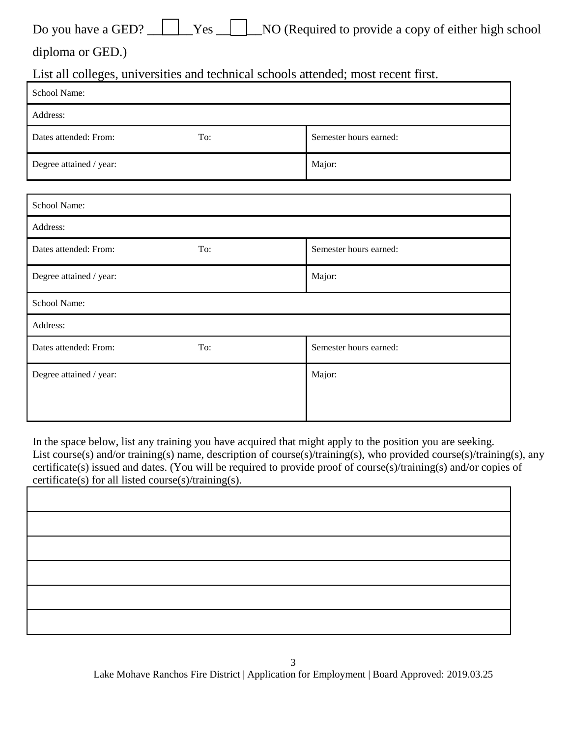|  |  |  |  | Do you have a GED? <u>Section</u> Yes NO (Required to provide a copy of either high school |  |
|--|--|--|--|--------------------------------------------------------------------------------------------|--|
|--|--|--|--|--------------------------------------------------------------------------------------------|--|

diploma or GED.)

List all colleges, universities and technical schools attended; most recent first.

| School Name:            |     |                        |
|-------------------------|-----|------------------------|
| Address:                |     |                        |
| Dates attended: From:   | To: | Semester hours earned: |
| Degree attained / year: |     | Major:                 |
|                         |     |                        |
| School Name:            |     |                        |
| Address:                |     |                        |
| Dates attended: From:   | To: | Semester hours earned: |
| Degree attained / year: |     | Major:                 |
| School Name:            |     |                        |
| Address:                |     |                        |
| Dates attended: From:   | To: | Semester hours earned: |
| Degree attained / year: |     | Major:                 |
|                         |     |                        |

In the space below, list any training you have acquired that might apply to the position you are seeking. List course(s) and/or training(s) name, description of course(s)/training(s), who provided course(s)/training(s), any certificate(s) issued and dates. (You will be required to provide proof of course(s)/training(s) and/or copies of certificate(s) for all listed course(s)/training(s).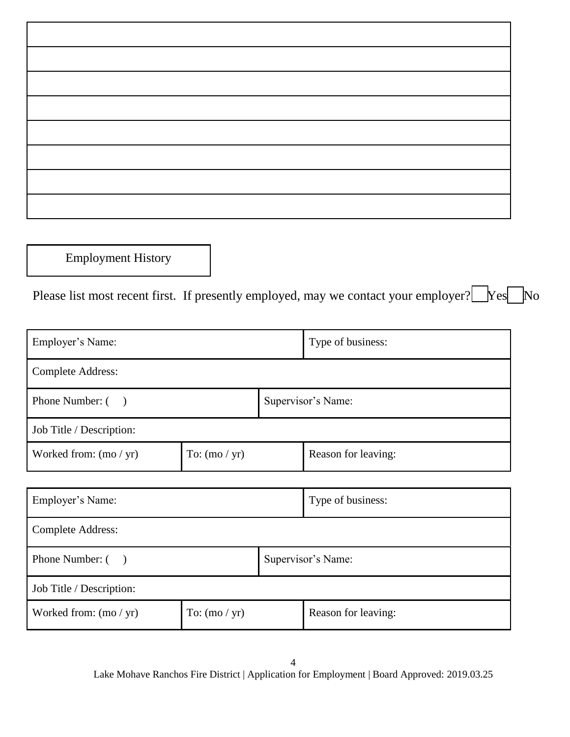Employment History

Please list most recent first. If presently employed, may we contact your employer? Nestando No

|                 | Type of business: |                     |  |  |  |
|-----------------|-------------------|---------------------|--|--|--|
|                 |                   |                     |  |  |  |
|                 |                   | Supervisor's Name:  |  |  |  |
|                 |                   |                     |  |  |  |
| To: $(mo / yr)$ |                   | Reason for leaving: |  |  |  |
|                 |                   |                     |  |  |  |
|                 |                   |                     |  |  |  |

| Employer's Name:         |                 | Type of business:  |                     |  |
|--------------------------|-----------------|--------------------|---------------------|--|
| <b>Complete Address:</b> |                 |                    |                     |  |
| Phone Number: ()         |                 | Supervisor's Name: |                     |  |
| Job Title / Description: |                 |                    |                     |  |
| Worked from: $(mo / yr)$ | To: $(mo / yr)$ |                    | Reason for leaving: |  |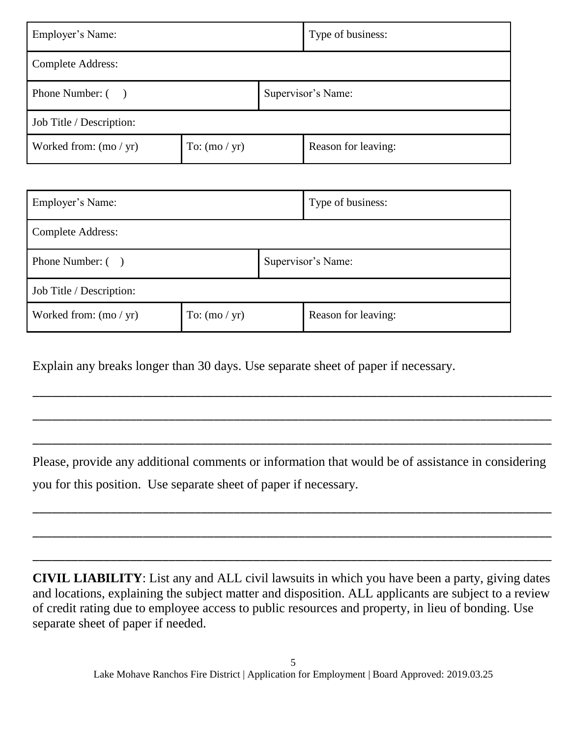| Employer's Name:         |                 | Type of business:  |                     |  |  |
|--------------------------|-----------------|--------------------|---------------------|--|--|
| <b>Complete Address:</b> |                 |                    |                     |  |  |
| Phone Number: ()         |                 | Supervisor's Name: |                     |  |  |
| Job Title / Description: |                 |                    |                     |  |  |
| Worked from: $(mo / yr)$ | To: $(mo / yr)$ |                    | Reason for leaving: |  |  |

| Employer's Name:         |                 | Type of business:  |                     |  |
|--------------------------|-----------------|--------------------|---------------------|--|
| <b>Complete Address:</b> |                 |                    |                     |  |
| Phone Number: ()         |                 | Supervisor's Name: |                     |  |
| Job Title / Description: |                 |                    |                     |  |
| Worked from: $(mo / yr)$ | To: $(mo / yr)$ |                    | Reason for leaving: |  |

Explain any breaks longer than 30 days. Use separate sheet of paper if necessary.

Please, provide any additional comments or information that would be of assistance in considering you for this position. Use separate sheet of paper if necessary.

\_\_\_\_\_\_\_\_\_\_\_\_\_\_\_\_\_\_\_\_\_\_\_\_\_\_\_\_\_\_\_\_\_\_\_\_\_\_\_\_\_\_\_\_\_\_\_\_\_\_\_\_\_\_\_\_\_\_\_\_\_\_\_\_\_\_\_\_\_\_\_\_\_\_\_\_\_\_\_\_

\_\_\_\_\_\_\_\_\_\_\_\_\_\_\_\_\_\_\_\_\_\_\_\_\_\_\_\_\_\_\_\_\_\_\_\_\_\_\_\_\_\_\_\_\_\_\_\_\_\_\_\_\_\_\_\_\_\_\_\_\_\_\_\_\_\_\_\_\_\_\_\_\_\_\_\_\_\_\_\_

\_\_\_\_\_\_\_\_\_\_\_\_\_\_\_\_\_\_\_\_\_\_\_\_\_\_\_\_\_\_\_\_\_\_\_\_\_\_\_\_\_\_\_\_\_\_\_\_\_\_\_\_\_\_\_\_\_\_\_\_\_\_\_\_\_\_\_\_\_\_\_\_\_\_\_\_\_\_\_\_

\_\_\_\_\_\_\_\_\_\_\_\_\_\_\_\_\_\_\_\_\_\_\_\_\_\_\_\_\_\_\_\_\_\_\_\_\_\_\_\_\_\_\_\_\_\_\_\_\_\_\_\_\_\_\_\_\_\_\_\_\_\_\_\_\_\_\_\_\_\_\_\_\_\_\_\_\_\_\_\_

\_\_\_\_\_\_\_\_\_\_\_\_\_\_\_\_\_\_\_\_\_\_\_\_\_\_\_\_\_\_\_\_\_\_\_\_\_\_\_\_\_\_\_\_\_\_\_\_\_\_\_\_\_\_\_\_\_\_\_\_\_\_\_\_\_\_\_\_\_\_\_\_\_\_\_\_\_\_\_\_

\_\_\_\_\_\_\_\_\_\_\_\_\_\_\_\_\_\_\_\_\_\_\_\_\_\_\_\_\_\_\_\_\_\_\_\_\_\_\_\_\_\_\_\_\_\_\_\_\_\_\_\_\_\_\_\_\_\_\_\_\_\_\_\_\_\_\_\_\_\_\_\_\_\_\_\_\_\_\_\_

**CIVIL LIABILITY**: List any and ALL civil lawsuits in which you have been a party, giving dates and locations, explaining the subject matter and disposition. ALL applicants are subject to a review of credit rating due to employee access to public resources and property, in lieu of bonding. Use separate sheet of paper if needed.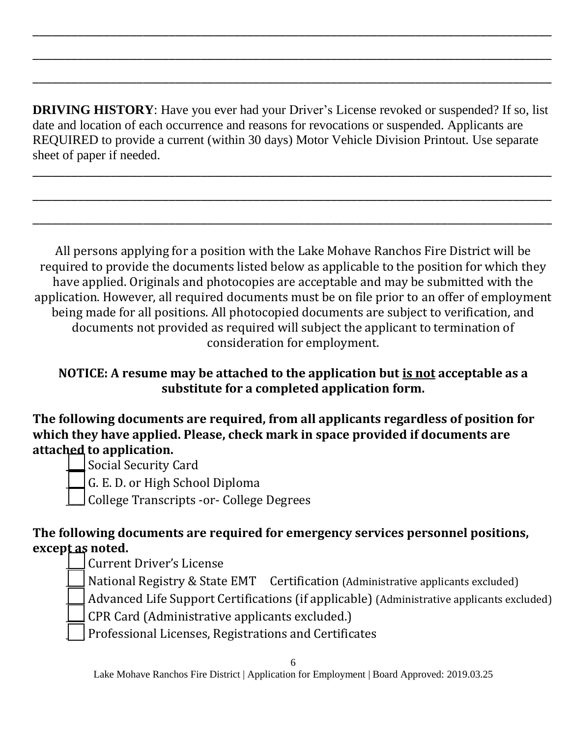**DRIVING HISTORY**: Have you ever had your Driver's License revoked or suspended? If so, list date and location of each occurrence and reasons for revocations or suspended. Applicants are REQUIRED to provide a current (within 30 days) Motor Vehicle Division Printout. Use separate sheet of paper if needed.

\_\_\_\_\_\_\_\_\_\_\_\_\_\_\_\_\_\_\_\_\_\_\_\_\_\_\_\_\_\_\_\_\_\_\_\_\_\_\_\_\_\_\_\_\_\_\_\_\_\_\_\_\_\_\_\_\_\_\_\_\_\_\_\_\_\_\_\_\_\_\_\_\_\_\_\_\_\_\_\_

\_\_\_\_\_\_\_\_\_\_\_\_\_\_\_\_\_\_\_\_\_\_\_\_\_\_\_\_\_\_\_\_\_\_\_\_\_\_\_\_\_\_\_\_\_\_\_\_\_\_\_\_\_\_\_\_\_\_\_\_\_\_\_\_\_\_\_\_\_\_\_\_\_\_\_\_\_\_\_\_

\_\_\_\_\_\_\_\_\_\_\_\_\_\_\_\_\_\_\_\_\_\_\_\_\_\_\_\_\_\_\_\_\_\_\_\_\_\_\_\_\_\_\_\_\_\_\_\_\_\_\_\_\_\_\_\_\_\_\_\_\_\_\_\_\_\_\_\_\_\_\_\_\_\_\_\_\_\_\_\_

\_\_\_\_\_\_\_\_\_\_\_\_\_\_\_\_\_\_\_\_\_\_\_\_\_\_\_\_\_\_\_\_\_\_\_\_\_\_\_\_\_\_\_\_\_\_\_\_\_\_\_\_\_\_\_\_\_\_\_\_\_\_\_\_\_\_\_\_\_\_\_\_\_\_\_\_\_\_\_\_

\_\_\_\_\_\_\_\_\_\_\_\_\_\_\_\_\_\_\_\_\_\_\_\_\_\_\_\_\_\_\_\_\_\_\_\_\_\_\_\_\_\_\_\_\_\_\_\_\_\_\_\_\_\_\_\_\_\_\_\_\_\_\_\_\_\_\_\_\_\_\_\_\_\_\_\_\_\_\_\_

\_\_\_\_\_\_\_\_\_\_\_\_\_\_\_\_\_\_\_\_\_\_\_\_\_\_\_\_\_\_\_\_\_\_\_\_\_\_\_\_\_\_\_\_\_\_\_\_\_\_\_\_\_\_\_\_\_\_\_\_\_\_\_\_\_\_\_\_\_\_\_\_\_\_\_\_\_\_\_\_

All persons applying for a position with the Lake Mohave Ranchos Fire District will be required to provide the documents listed below as applicable to the position for which they have applied. Originals and photocopies are acceptable and may be submitted with the application. However, all required documents must be on file prior to an offer of employment being made for all positions. All photocopied documents are subject to verification, and documents not provided as required will subject the applicant to termination of consideration for employment.

### **NOTICE: A resume may be attached to the application but is not acceptable as a substitute for a completed application form.**

**The following documents are required, from all applicants regardless of position for which they have applied. Please, check mark in space provided if documents are attached to application.**

Social Security Card

\_\_\_\_ G. E. D. or High School Diploma

\_\_\_\_ College Transcripts -or- College Degrees

#### **The following documents are required for emergency services personnel positions,**  except as noted.

\_\_\_\_ Current Driver's License

National Registry & State EMT Certification (Administrative applicants excluded)

Advanced Life Support Certifications (if applicable) (Administrative applicants excluded)

- \_\_\_\_ CPR Card (Administrative applicants excluded.)
- \_\_\_\_ Professional Licenses, Registrations and Certificates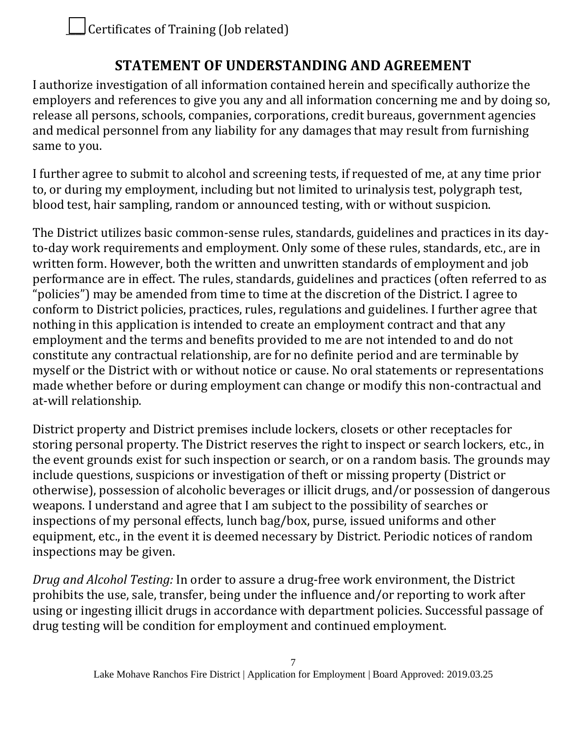# **STATEMENT OF UNDERSTANDING AND AGREEMENT**

I authorize investigation of all information contained herein and specifically authorize the employers and references to give you any and all information concerning me and by doing so, release all persons, schools, companies, corporations, credit bureaus, government agencies and medical personnel from any liability for any damages that may result from furnishing same to you.

I further agree to submit to alcohol and screening tests, if requested of me, at any time prior to, or during my employment, including but not limited to urinalysis test, polygraph test, blood test, hair sampling, random or announced testing, with or without suspicion.

The District utilizes basic common-sense rules, standards, guidelines and practices in its dayto-day work requirements and employment. Only some of these rules, standards, etc., are in written form. However, both the written and unwritten standards of employment and job performance are in effect. The rules, standards, guidelines and practices (often referred to as "policies") may be amended from time to time at the discretion of the District. I agree to conform to District policies, practices, rules, regulations and guidelines. I further agree that nothing in this application is intended to create an employment contract and that any employment and the terms and benefits provided to me are not intended to and do not constitute any contractual relationship, are for no definite period and are terminable by myself or the District with or without notice or cause. No oral statements or representations made whether before or during employment can change or modify this non-contractual and at-will relationship.

District property and District premises include lockers, closets or other receptacles for storing personal property. The District reserves the right to inspect or search lockers, etc., in the event grounds exist for such inspection or search, or on a random basis. The grounds may include questions, suspicions or investigation of theft or missing property (District or otherwise), possession of alcoholic beverages or illicit drugs, and/or possession of dangerous weapons. I understand and agree that I am subject to the possibility of searches or inspections of my personal effects, lunch bag/box, purse, issued uniforms and other equipment, etc., in the event it is deemed necessary by District. Periodic notices of random inspections may be given.

*Drug and Alcohol Testing:* In order to assure a drug-free work environment, the District prohibits the use, sale, transfer, being under the influence and/or reporting to work after using or ingesting illicit drugs in accordance with department policies. Successful passage of drug testing will be condition for employment and continued employment.